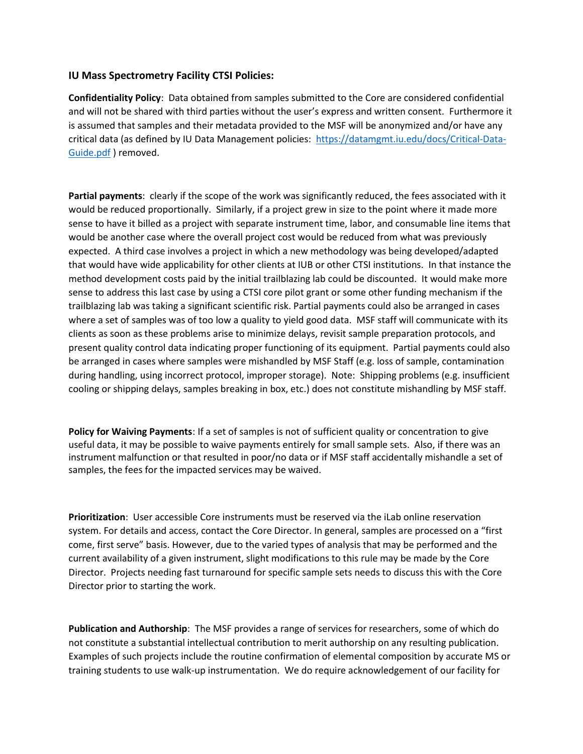## **IU Mass Spectrometry Facility CTSI Policies:**

**Confidentiality Policy**: Data obtained from samples submitted to the Core are considered confidential and will not be shared with third parties without the user's express and written consent. Furthermore it is assumed that samples and their metadata provided to the MSF will be anonymized and/or have any critical data (as defined by IU Data Management policies: [https://datamgmt.iu.edu/docs/Critical-Data-](https://datamgmt.iu.edu/docs/Critical-Data-Guide.pdf)[Guide.pdf](https://datamgmt.iu.edu/docs/Critical-Data-Guide.pdf) ) removed.

**Partial payments**: clearly if the scope of the work was significantly reduced, the fees associated with it would be reduced proportionally. Similarly, if a project grew in size to the point where it made more sense to have it billed as a project with separate instrument time, labor, and consumable line items that would be another case where the overall project cost would be reduced from what was previously expected. A third case involves a project in which a new methodology was being developed/adapted that would have wide applicability for other clients at IUB or other CTSI institutions. In that instance the method development costs paid by the initial trailblazing lab could be discounted. It would make more sense to address this last case by using a CTSI core pilot grant or some other funding mechanism if the trailblazing lab was taking a significant scientific risk. Partial payments could also be arranged in cases where a set of samples was of too low a quality to yield good data. MSF staff will communicate with its clients as soon as these problems arise to minimize delays, revisit sample preparation protocols, and present quality control data indicating proper functioning of its equipment. Partial payments could also be arranged in cases where samples were mishandled by MSF Staff (e.g. loss of sample, contamination during handling, using incorrect protocol, improper storage). Note: Shipping problems (e.g. insufficient cooling or shipping delays, samples breaking in box, etc.) does not constitute mishandling by MSF staff.

**Policy for Waiving Payments**: If a set of samples is not of sufficient quality or concentration to give useful data, it may be possible to waive payments entirely for small sample sets. Also, if there was an instrument malfunction or that resulted in poor/no data or if MSF staff accidentally mishandle a set of samples, the fees for the impacted services may be waived.

**Prioritization**: User accessible Core instruments must be reserved via the iLab online reservation system. For details and access, contact the Core Director. In general, samples are processed on a "first come, first serve" basis. However, due to the varied types of analysis that may be performed and the current availability of a given instrument, slight modifications to this rule may be made by the Core Director. Projects needing fast turnaround for specific sample sets needs to discuss this with the Core Director prior to starting the work.

**Publication and Authorship**: The MSF provides a range of services for researchers, some of which do not constitute a substantial intellectual contribution to merit authorship on any resulting publication. Examples of such projects include the routine confirmation of elemental composition by accurate MS or training students to use walk-up instrumentation. We do require acknowledgement of our facility for